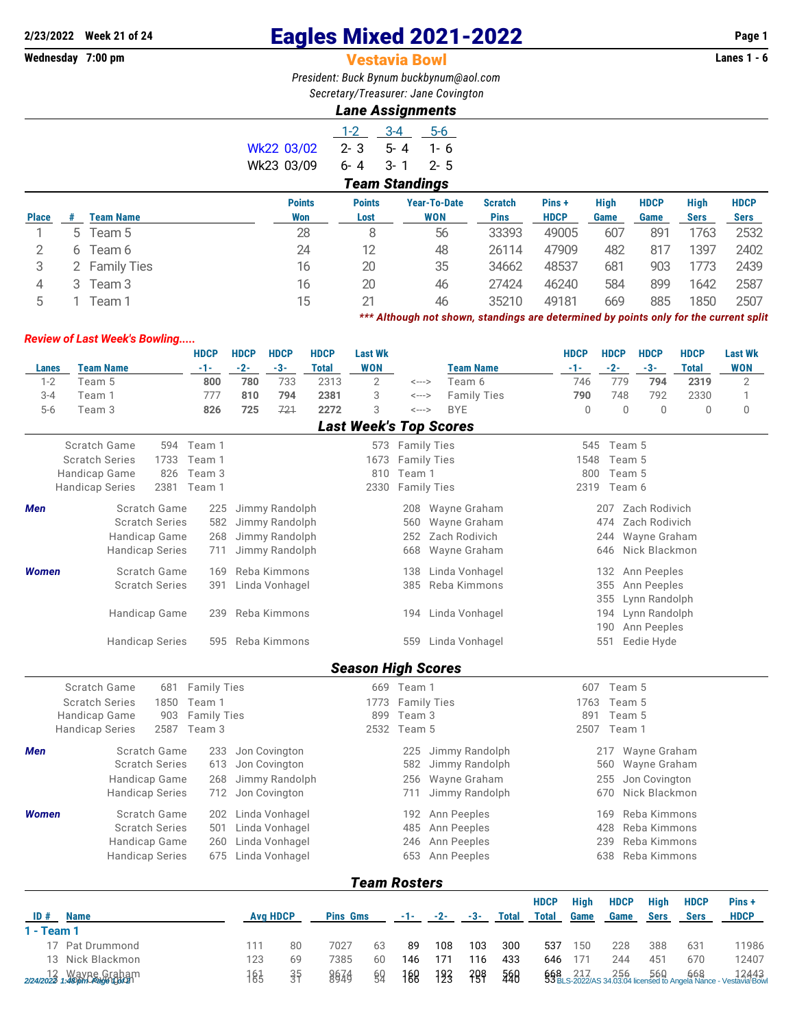## **2/23/2022 Week 21 of 24** Eagles Mixed 2021-2022 **Page 1**

## **Vestavia Bowl**

*President: Buck Bynum [buckbynum@aol.com](mailto:buckbynum@aol.com) Secretary/Treasurer: Jane Covington*

## *Lane Assignments*

|              |                       |                  |               | $1 - 2$       | $3 - 4$<br>$5-6$    |                |             |             |             |             |             |  |  |  |
|--------------|-----------------------|------------------|---------------|---------------|---------------------|----------------|-------------|-------------|-------------|-------------|-------------|--|--|--|
|              |                       |                  | Wk22 03/02    | $2 - 3$       | $5 - 4$<br>$1 - 6$  |                |             |             |             |             |             |  |  |  |
|              |                       |                  | Wk23 03/09    | $6 - 4$       | $3 - 1$<br>$2 - 5$  |                |             |             |             |             |             |  |  |  |
|              | <b>Team Standings</b> |                  |               |               |                     |                |             |             |             |             |             |  |  |  |
|              |                       |                  | <b>Points</b> | <b>Points</b> | <b>Year-To-Date</b> | <b>Scratch</b> | Pins +      | <b>High</b> | <b>HDCP</b> | <b>High</b> | <b>HDCP</b> |  |  |  |
| <b>Place</b> | #                     | <b>Team Name</b> | Won           | Lost          | <b>WON</b>          | <b>Pins</b>    | <b>HDCP</b> | Game        | Game        | <b>Sers</b> | <b>Sers</b> |  |  |  |
|              |                       | 5 Team 5         | 28            | 8             | 56                  | 33393          | 49005       | 607         | 891         | 1763        | 2532        |  |  |  |
| 2            |                       | 6 Team 6         | 24            | 12            | 48                  | 26114          | 47909       | 482         | 817         | 1397        | 2402        |  |  |  |
| 3            |                       | 2 Family Ties    | 16            | 20            | 35                  | 34662          | 48537       | 681         | 903         | 1773        | 2439        |  |  |  |
| 4            |                       | 3 Team 3         | 16            | 20            | 46                  | 27424          | 46240       | 584         | 899         | 1642        | 2587        |  |  |  |
| 5            |                       | Feam 1           | 15            | 21            | 46                  | 35210          | 49181       | 669         | 885         | 1850        | 2507        |  |  |  |

*\*\*\* Although not shown, standings are determined by points only for the current split*

## *Review of Last Week's Bowling.....*

|                                                |                        |      | <b>HDCP</b>        | <b>HDCP</b>    | <b>HDCP</b>     | <b>HDCP</b>  | <b>Last Wk</b>                |                  |                    |                    |              |                    | <b>HDCP</b>  | <b>HDCP</b>   | <b>HDCP</b>   | <b>HDCP</b>                                                | <b>Last Wk</b>       |  |  |
|------------------------------------------------|------------------------|------|--------------------|----------------|-----------------|--------------|-------------------------------|------------------|--------------------|--------------------|--------------|--------------------|--------------|---------------|---------------|------------------------------------------------------------|----------------------|--|--|
| <b>Lanes</b>                                   | <b>Team Name</b>       |      | -1-                | $-2-$          | $-3-$           | <b>Total</b> | <b>WON</b>                    |                  |                    | <b>Team Name</b>   |              |                    | $-1-$        | $-2-$         | $-3-$         | <b>Total</b>                                               | <b>WON</b>           |  |  |
| $1 - 2$                                        | Team 5                 |      | 800                | 780            | 733             | 2313         | $\overline{2}$                | <--->            |                    | Team 6             |              |                    | 746          | 779           | 794           | 2319                                                       | $\overline{2}$       |  |  |
| $3 - 4$                                        | Team 1                 |      | 777                | 810            | 794             | 2381         | 3                             | <--->            |                    | <b>Family Ties</b> |              |                    | 790          | 748           | 792           | 2330                                                       | 1                    |  |  |
| $5-6$                                          | Team 3                 |      | 826                | 725            | 721             | 2272         | 3                             | <--->            | <b>BYE</b>         |                    |              |                    | $\Omega$     | $\theta$      | $\theta$      | $\overline{0}$                                             | $\mathbf 0$          |  |  |
|                                                |                        |      |                    |                |                 |              | <b>Last Week's Top Scores</b> |                  |                    |                    |              |                    |              |               |               |                                                            |                      |  |  |
|                                                | Scratch Game           |      | 594 Team 1         |                |                 |              |                               | 573 Family Ties  |                    |                    |              |                    | 545          | Team 5        |               |                                                            |                      |  |  |
|                                                | <b>Scratch Series</b>  | 1733 | Team 1             |                |                 |              |                               | 1673 Family Ties |                    |                    |              |                    | 1548         | Team 5        |               |                                                            |                      |  |  |
|                                                | Handicap Game          | 826  | Team 3             |                |                 |              | 810                           | Team 1           |                    |                    |              |                    | 800          | Team 5        |               |                                                            |                      |  |  |
|                                                | <b>Handicap Series</b> | 2381 | Team 1             |                |                 |              | 2330                          |                  | <b>Family Ties</b> |                    |              |                    |              | 2319 Team 6   |               |                                                            |                      |  |  |
| Men                                            | Scratch Game           |      | 225                |                | Jimmy Randolph  |              |                               | 208              |                    | Wayne Graham       |              |                    |              | 207           | Zach Rodivich |                                                            |                      |  |  |
| <b>Scratch Series</b>                          |                        | 582  |                    | Jimmy Randolph |                 |              | 560                           |                  | Wayne Graham       |                    |              |                    | 474          | Zach Rodivich |               |                                                            |                      |  |  |
|                                                | Handicap Game          |      | 268                | Jimmy Randolph |                 |              |                               | 252              |                    | Zach Rodivich      |              |                    |              | 244           | Wayne Graham  |                                                            |                      |  |  |
|                                                | <b>Handicap Series</b> |      | 711                |                | Jimmy Randolph  |              |                               | 668              |                    | Wayne Graham       |              |                    |              | 646           | Nick Blackmon |                                                            |                      |  |  |
| <b>Women</b>                                   | Scratch Game           |      | 169                |                | Reba Kimmons    |              |                               | 138              |                    | Linda Vonhagel     |              |                    |              | 132           | Ann Peeples   |                                                            |                      |  |  |
|                                                | <b>Scratch Series</b>  |      | 391                |                | Linda Vonhagel  |              |                               | 385              |                    | Reba Kimmons       |              | 355<br>Ann Peeples |              |               |               |                                                            |                      |  |  |
|                                                |                        |      |                    |                |                 |              |                               |                  |                    |                    |              |                    |              | 355           | Lynn Randolph |                                                            |                      |  |  |
|                                                | Handicap Game          |      | 239                |                | Reba Kimmons    |              |                               | 194              | Linda Vonhagel     |                    |              |                    |              | 194           | Lynn Randolph |                                                            |                      |  |  |
|                                                |                        |      |                    |                |                 |              |                               |                  |                    |                    |              |                    |              | 190           | Ann Peeples   |                                                            |                      |  |  |
|                                                | <b>Handicap Series</b> |      | 595                |                | Reba Kimmons    |              |                               |                  | 559 Linda Vonhagel |                    |              |                    |              | 551           | Eedie Hyde    |                                                            |                      |  |  |
|                                                |                        |      |                    |                |                 |              |                               |                  |                    |                    |              |                    |              |               |               |                                                            |                      |  |  |
|                                                |                        |      |                    |                |                 |              | <b>Season High Scores</b>     |                  |                    |                    |              |                    |              |               |               |                                                            |                      |  |  |
|                                                | Scratch Game           | 681  | <b>Family Ties</b> |                |                 |              |                               | 669 Team 1       |                    |                    |              |                    | 607          | Team 5        |               |                                                            |                      |  |  |
|                                                | <b>Scratch Series</b>  | 1850 | Team 1             |                |                 |              |                               | 1773 Family Ties |                    |                    |              | Team 5<br>1763     |              |               |               |                                                            |                      |  |  |
|                                                | Handicap Game          | 903  | <b>Family Ties</b> |                |                 |              | 899                           | Team 3           |                    |                    |              | 891<br>Team 5      |              |               |               |                                                            |                      |  |  |
|                                                | <b>Handicap Series</b> | 2587 | Team 3             |                |                 |              |                               | 2532 Team 5      |                    |                    |              |                    | 2507         | Team 1        |               |                                                            |                      |  |  |
| Men                                            | Scratch Game           |      | 233                |                | Jon Covington   |              |                               | 225              | Jimmy Randolph     |                    |              |                    |              | 217           | Wayne Graham  |                                                            |                      |  |  |
|                                                | <b>Scratch Series</b>  |      | 613                |                | Jon Covington   |              |                               | 582              |                    | Jimmy Randolph     |              |                    |              | 560           | Wayne Graham  |                                                            |                      |  |  |
|                                                | <b>Handicap Game</b>   |      | 268                |                | Jimmy Randolph  |              |                               | 256              |                    | Wayne Graham       |              |                    |              | 255           | Jon Covington |                                                            |                      |  |  |
|                                                | <b>Handicap Series</b> |      | 712                |                | Jon Covington   |              |                               | 711              |                    | Jimmy Randolph     |              |                    |              | 670           | Nick Blackmon |                                                            |                      |  |  |
| <b>Women</b>                                   | Scratch Game           |      | 202                |                | Linda Vonhagel  |              |                               | 192              | Ann Peeples        |                    |              |                    |              | 169           | Reba Kimmons  |                                                            |                      |  |  |
|                                                | <b>Scratch Series</b>  |      | 501                |                | Linda Vonhagel  |              |                               | 485              | Ann Peeples        |                    |              |                    |              | 428           | Reba Kimmons  |                                                            |                      |  |  |
|                                                | Handicap Game          |      | 260                |                | Linda Vonhagel  |              |                               | 246              |                    | Ann Peeples        |              |                    |              | 239           | Reba Kimmons  |                                                            |                      |  |  |
|                                                | <b>Handicap Series</b> |      | 675                |                | Linda Vonhagel  |              |                               | 653              |                    | Ann Peeples        |              |                    |              | 638           | Reba Kimmons  |                                                            |                      |  |  |
|                                                |                        |      |                    |                |                 |              |                               |                  |                    |                    |              |                    |              |               |               |                                                            |                      |  |  |
|                                                |                        |      |                    |                |                 |              | <b>Team Rosters</b>           |                  |                    |                    |              |                    |              |               |               |                                                            |                      |  |  |
|                                                |                        |      |                    |                |                 |              |                               |                  |                    |                    | <b>HDCP</b>  | <b>High</b>        | <b>HDCP</b>  | <b>High</b>   | <b>HDCP</b>   | Pins+                                                      |                      |  |  |
| ID#<br>1 - Team 1                              | <b>Name</b>            |      |                    |                | <b>Avg HDCP</b> |              | <b>Pins Gms</b>               | -1-              | $-2-$              | $-3-$              | <b>Total</b> | <b>Total</b>       | Game         | Game          | <b>Sers</b>   | <b>Sers</b>                                                | <b>HDCP</b>          |  |  |
|                                                | 17 Pat Drummond        |      |                    |                |                 | 7027         |                               | 89               |                    |                    |              | 537                |              |               | 388           |                                                            |                      |  |  |
| 13                                             | Nick Blackmon          |      |                    | 111<br>123     | 80<br>69        | 7385         | 63<br>60                      | 146              | 108<br>171         | 103<br>116         | 300<br>433   | 646                | 150<br>171   | 228<br>244    | 451           | 631<br>670                                                 | 11986<br>12407       |  |  |
|                                                |                        |      |                    |                |                 |              |                               |                  |                    |                    |              |                    |              |               |               |                                                            |                      |  |  |
| 12 Wayne Graham<br>2/24/2023 1:40pm Page 106CP |                        |      |                    | 183            | $\frac{35}{3}$  | 8674         | 69                            | 188              | 193                | <b>298</b>         | 588          | 668                | 217<br>-2022 | 24            |               | 256 560 668 1<br>34.03:04 licensed to Angela Nance - Vesta | $12443$<br>tavia Bow |  |  |